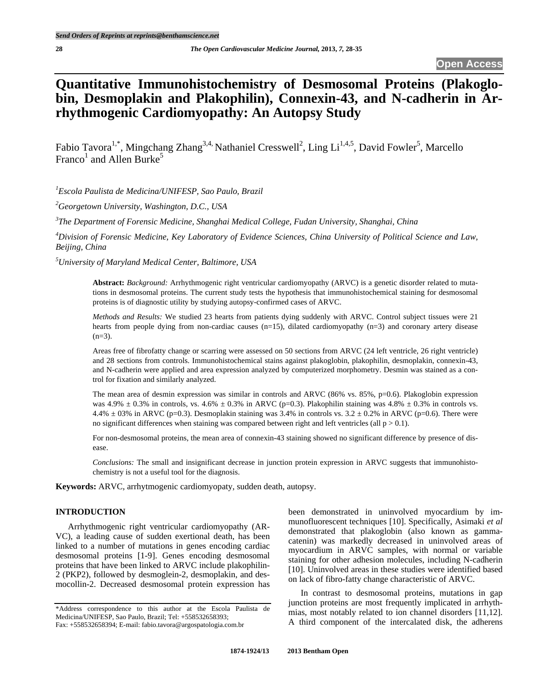# **Quantitative Immunohistochemistry of Desmosomal Proteins (Plakoglobin, Desmoplakin and Plakophilin), Connexin-43, and N-cadherin in Arrhythmogenic Cardiomyopathy: An Autopsy Study**

Fabio Tavora<sup>1,\*</sup>, Mingchang Zhang<sup>3,4,</sup> Nathaniel Cresswell<sup>2</sup>, Ling Li<sup>1,4,5</sup>, David Fowler<sup>5</sup>, Marcello Franco<sup>1</sup> and Allen Burke<sup>5</sup>

*1 Escola Paulista de Medicina/UNIFESP, Sao Paulo, Brazil* 

*2 Georgetown University, Washington, D.C., USA* 

*3 The Department of Forensic Medicine, Shanghai Medical College, Fudan University, Shanghai, China* 

*4 Division of Forensic Medicine, Key Laboratory of Evidence Sciences, China University of Political Science and Law, Beijing, China* 

*5 University of Maryland Medical Center, Baltimore, USA* 

**Abstract:** *Background:* Arrhythmogenic right ventricular cardiomyopathy (ARVC) is a genetic disorder related to mutations in desmosomal proteins. The current study tests the hypothesis that immunohistochemical staining for desmosomal proteins is of diagnostic utility by studying autopsy-confirmed cases of ARVC.

*Methods and Results:* We studied 23 hearts from patients dying suddenly with ARVC. Control subject tissues were 21 hearts from people dying from non-cardiac causes (n=15), dilated cardiomyopathy (n=3) and coronary artery disease  $(n=3)$ .

Areas free of fibrofatty change or scarring were assessed on 50 sections from ARVC (24 left ventricle, 26 right ventricle) and 28 sections from controls. Immunohistochemical stains against plakoglobin, plakophilin, desmoplakin, connexin-43, and N-cadherin were applied and area expression analyzed by computerized morphometry. Desmin was stained as a control for fixation and similarly analyzed.

The mean area of desmin expression was similar in controls and ARVC (86% vs. 85%, p=0.6). Plakoglobin expression was 4.9%  $\pm$  0.3% in controls, vs. 4.6%  $\pm$  0.3% in ARVC (p=0.3). Plakophilin staining was 4.8%  $\pm$  0.3% in controls vs. 4.4%  $\pm$  03% in ARVC (p=0.3). Desmoplakin staining was 3.4% in controls vs. 3.2  $\pm$  0.2% in ARVC (p=0.6). There were no significant differences when staining was compared between right and left ventricles (all  $p > 0.1$ ).

For non-desmosomal proteins, the mean area of connexin-43 staining showed no significant difference by presence of disease.

*Conclusions:* The small and insignificant decrease in junction protein expression in ARVC suggests that immunohistochemistry is not a useful tool for the diagnosis.

**Keywords:** ARVC, arrhytmogenic cardiomyopaty, sudden death, autopsy.

# **INTRODUCTION**

 Arrhythmogenic right ventricular cardiomyopathy (AR-VC), a leading cause of sudden exertional death, has been linked to a number of mutations in genes encoding cardiac desmosomal proteins [1-9]. Genes encoding desmosomal proteins that have been linked to ARVC include plakophilin-2 (PKP2), followed by desmoglein-2, desmoplakin, and desmocollin-2. Decreased desmosomal protein expression has been demonstrated in uninvolved myocardium by immunofluorescent techniques [10]. Specifically, Asimaki *et al* demonstrated that plakoglobin (also known as gammacatenin) was markedly decreased in uninvolved areas of myocardium in ARVC samples, with normal or variable staining for other adhesion molecules, including N-cadherin [10]. Uninvolved areas in these studies were identified based on lack of fibro-fatty change characteristic of ARVC.

 In contrast to desmosomal proteins, mutations in gap junction proteins are most frequently implicated in arrhythmias, most notably related to ion channel disorders [11,12]. A third component of the intercalated disk, the adherens

<sup>\*</sup>Address correspondence to this author at the Escola Paulista de Medicina/UNIFESP, Sao Paulo, Brazil; Tel: +558532658393; Fax: +558532658394; E-mail: fabio.tavora@argospatologia.com.br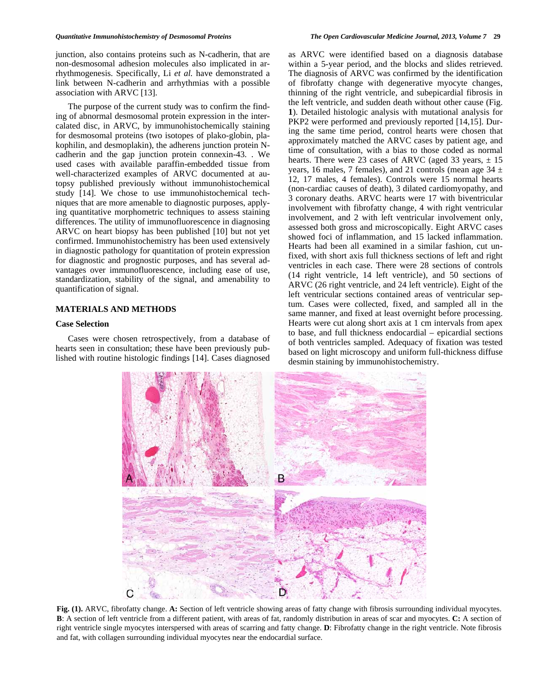junction, also contains proteins such as N-cadherin, that are

non-desmosomal adhesion molecules also implicated in arrhythmogenesis. Specifically, Li *et al.* have demonstrated a link between N-cadherin and arrhythmias with a possible association with ARVC [13].

 The purpose of the current study was to confirm the finding of abnormal desmosomal protein expression in the intercalated disc, in ARVC, by immunohistochemically staining for desmosomal proteins (two isotopes of plako-globin, plakophilin, and desmoplakin), the adherens junction protein Ncadherin and the gap junction protein connexin-43. . We used cases with available paraffin-embedded tissue from well-characterized examples of ARVC documented at autopsy published previously without immunohistochemical study [14]. We chose to use immunohistochemical techniques that are more amenable to diagnostic purposes, applying quantitative morphometric techniques to assess staining differences. The utility of immunofluorescence in diagnosing ARVC on heart biopsy has been published [10] but not yet confirmed. Immunohistochemistry has been used extensively in diagnostic pathology for quantitation of protein expression for diagnostic and prognostic purposes, and has several advantages over immunofluorescence, including ease of use, standardization, stability of the signal, and amenability to quantification of signal.

# **MATERIALS AND METHODS**

#### **Case Selection**

 Cases were chosen retrospectively, from a database of hearts seen in consultation; these have been previously published with routine histologic findings [14]. Cases diagnosed as ARVC were identified based on a diagnosis database within a 5-year period, and the blocks and slides retrieved. The diagnosis of ARVC was confirmed by the identification of fibrofatty change with degenerative myocyte changes, thinning of the right ventricle, and subepicardial fibrosis in the left ventricle, and sudden death without other cause (Fig. **1**). Detailed histologic analysis with mutational analysis for PKP2 were performed and previously reported [14,15]. During the same time period, control hearts were chosen that approximately matched the ARVC cases by patient age, and time of consultation, with a bias to those coded as normal hearts. There were 23 cases of ARVC (aged 33 years,  $\pm 15$ ) years, 16 males, 7 females), and 21 controls (mean age  $34 \pm$ 12, 17 males, 4 females). Controls were 15 normal hearts (non-cardiac causes of death), 3 dilated cardiomyopathy, and 3 coronary deaths. ARVC hearts were 17 with biventricular involvement with fibrofatty change, 4 with right ventricular involvement, and 2 with left ventricular involvement only, assessed both gross and microscopically. Eight ARVC cases showed foci of inflammation, and 15 lacked inflammation. Hearts had been all examined in a similar fashion, cut unfixed, with short axis full thickness sections of left and right ventricles in each case. There were 28 sections of controls (14 right ventricle, 14 left ventricle), and 50 sections of ARVC (26 right ventricle, and 24 left ventricle). Eight of the left ventricular sections contained areas of ventricular septum. Cases were collected, fixed, and sampled all in the same manner, and fixed at least overnight before processing. Hearts were cut along short axis at 1 cm intervals from apex to base, and full thickness endocardial – epicardial sections of both ventricles sampled. Adequacy of fixation was tested based on light microscopy and uniform full-thickness diffuse desmin staining by immunohistochemistry.



**Fig. (1).** ARVC, fibrofatty change. **A:** Section of left ventricle showing areas of fatty change with fibrosis surrounding individual myocytes. **B**: A section of left ventricle from a different patient, with areas of fat, randomly distribution in areas of scar and myocytes. **C:** A section of right ventricle single myocytes interspersed with areas of scarring and fatty change. **D**: Fibrofatty change in the right ventricle. Note fibrosis and fat, with collagen surrounding individual myocytes near the endocardial surface.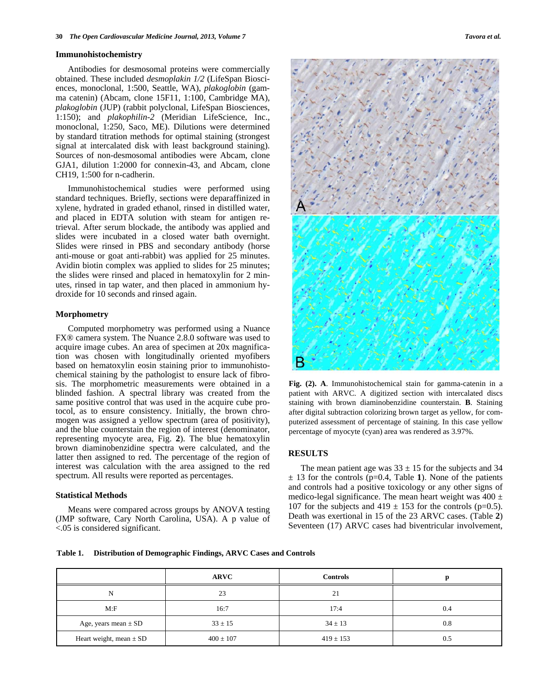### **Immunohistochemistry**

 Antibodies for desmosomal proteins were commercially obtained. These included *desmoplakin 1/2* (LifeSpan Biosciences, monoclonal, 1:500, Seattle, WA), *plakoglobin* (gamma catenin) (Abcam, clone 15F11, 1:100, Cambridge MA), *plakoglobin* (JUP) (rabbit polyclonal, LifeSpan Biosciences, 1:150); and *plakophilin-2* (Meridian LifeScience, Inc., monoclonal, 1:250, Saco, ME). Dilutions were determined by standard titration methods for optimal staining (strongest signal at intercalated disk with least background staining). Sources of non-desmosomal antibodies were Abcam, clone GJA1, dilution 1:2000 for connexin-43, and Abcam, clone CH19, 1:500 for n-cadherin.

 Immunohistochemical studies were performed using standard techniques. Briefly, sections were deparaffinized in xylene, hydrated in graded ethanol, rinsed in distilled water, and placed in EDTA solution with steam for antigen retrieval. After serum blockade, the antibody was applied and slides were incubated in a closed water bath overnight. Slides were rinsed in PBS and secondary antibody (horse anti-mouse or goat anti-rabbit) was applied for 25 minutes. Avidin biotin complex was applied to slides for 25 minutes; the slides were rinsed and placed in hematoxylin for 2 minutes, rinsed in tap water, and then placed in ammonium hydroxide for 10 seconds and rinsed again.

# **Morphometry**

 Computed morphometry was performed using a Nuance FX® camera system. The Nuance 2.8.0 software was used to acquire image cubes. An area of specimen at 20x magnification was chosen with longitudinally oriented myofibers based on hematoxylin eosin staining prior to immunohistochemical staining by the pathologist to ensure lack of fibrosis. The morphometric measurements were obtained in a blinded fashion. A spectral library was created from the same positive control that was used in the acquire cube protocol, as to ensure consistency. Initially, the brown chromogen was assigned a yellow spectrum (area of positivity), and the blue counterstain the region of interest (denominator, representing myocyte area, Fig. **2**). The blue hematoxylin brown diaminobenzidine spectra were calculated, and the latter then assigned to red. The percentage of the region of interest was calculation with the area assigned to the red spectrum. All results were reported as percentages.

# **Statistical Methods**

 Means were compared across groups by ANOVA testing (JMP software, Cary North Carolina, USA). A p value of <.05 is considered significant.



**Fig. (2). A**. Immunohistochemical stain for gamma-catenin in a patient with ARVC. A digitized section with intercalated discs staining with brown diaminobenzidine counterstain. **B**. Staining after digital subtraction colorizing brown target as yellow, for computerized assessment of percentage of staining. In this case yellow percentage of myocyte (cyan) area was rendered as 3.97%.

# **RESULTS**

The mean patient age was  $33 \pm 15$  for the subjects and 34 ± 13 for the controls (p=0.4, Table **1**). None of the patients and controls had a positive toxicology or any other signs of medico-legal significance. The mean heart weight was  $400 \pm$ 107 for the subjects and  $419 \pm 153$  for the controls (p=0.5). Death was exertional in 15 of the 23 ARVC cases. (Table **2**) Seventeen (17) ARVC cases had biventricular involvement,

**Table 1. Distribution of Demographic Findings, ARVC Cases and Controls** 

|                             | <b>ARVC</b>   | <b>Controls</b> |     |
|-----------------------------|---------------|-----------------|-----|
| N                           | 23            | 21              |     |
| M: F                        | 16:7          | 17:4            | 0.4 |
| Age, years mean $\pm$ SD    | $33 \pm 15$   | $34 \pm 13$     | 0.8 |
| Heart weight, mean $\pm$ SD | $400 \pm 107$ | $419 \pm 153$   | 0.5 |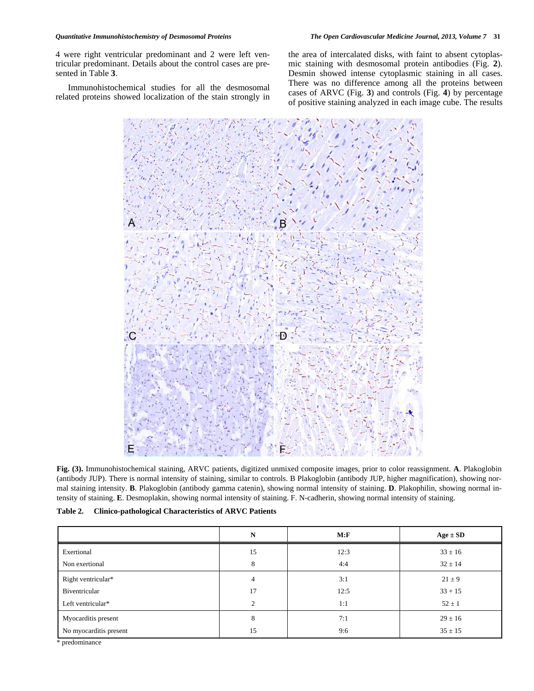4 were right ventricular predominant and 2 were left ventricular predominant. Details about the control cases are presented in Table **3**.

 Immunohistochemical studies for all the desmosomal related proteins showed localization of the stain strongly in the area of intercalated disks, with faint to absent cytoplasmic staining with desmosomal protein antibodies (Fig. **2**). Desmin showed intense cytoplasmic staining in all cases. There was no difference among all the proteins between cases of ARVC (Fig. **3**) and controls (Fig. **4**) by percentage of positive staining analyzed in each image cube. The results



**Fig. (3).** Immunohistochemical staining, ARVC patients, digitized unmixed composite images, prior to color reassignment. **A**. Plakoglobin (antibody JUP). There is normal intensity of staining, similar to controls. B Plakoglobin (antibody JUP, higher magnification), showing normal staining intensity. **B**. Plakoglobin (antibody gamma catenin), showing normal intensity of staining. **D**. Plakophilin, showing normal intensity of staining. **E**. Desmoplakin, showing normal intensity of staining. F. N-cadherin, showing normal intensity of staining.

|                        | N              | M: F | $Age \pm SD$ |
|------------------------|----------------|------|--------------|
| Exertional             | 15             | 12:3 | $33 \pm 16$  |
| Non exertional         | 8              | 4:4  | $32 \pm 14$  |
| Right ventricular*     | $\overline{4}$ | 3:1  | $21 \pm 9$   |
| Biventricular          | 17             | 12:5 | $33 + 15$    |
| Left ventricular*      | 2              | 1:1  | $52 \pm 1$   |
| Myocarditis present    | 8              | 7:1  | $29 \pm 16$  |
| No myocarditis present | 15             | 9:6  | $35 \pm 15$  |

\* predominance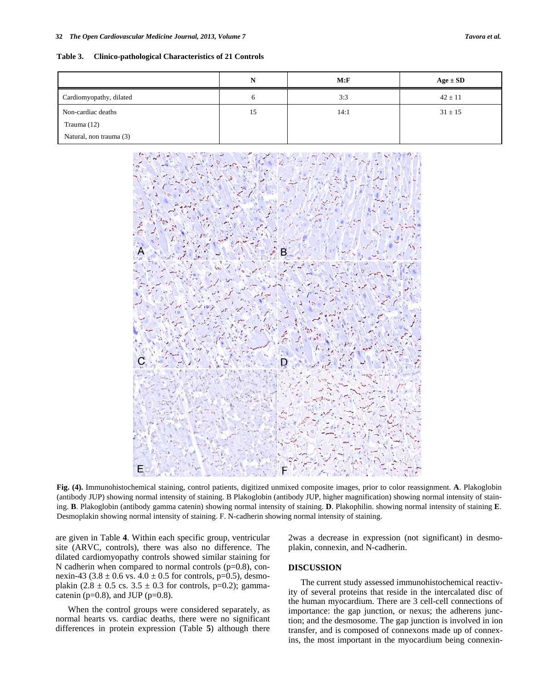**Table 3. Clinico-pathological Characteristics of 21 Controls** 

|                         | N  | M: F | $Age \pm SD$ |
|-------------------------|----|------|--------------|
| Cardiomyopathy, dilated | 6  | 3:3  | $42 \pm 11$  |
| Non-cardiac deaths      | 15 | 14:1 | $31 \pm 15$  |
| Trauma $(12)$           |    |      |              |
| Natural, non trauma (3) |    |      |              |



**Fig. (4).** Immunohistochemical staining, control patients, digitized unmixed composite images, prior to color reassignment. **A**. Plakoglobin (antibody JUP) showing normal intensity of staining. B Plakoglobin (antibody JUP, higher magnification) showing normal intensity of staining. **B**. Plakoglobin (antibody gamma catenin) showing normal intensity of staining. **D**. Plakophilin. showing normal intensity of staining **E**. Desmoplakin showing normal intensity of staining. F. N-cadherin showing normal intensity of staining.

are given in Table **4**. Within each specific group, ventricular site (ARVC, controls), there was also no difference. The dilated cardiomyopathy controls showed similar staining for N cadherin when compared to normal controls (p=0.8), connexin-43 (3.8  $\pm$  0.6 vs. 4.0  $\pm$  0.5 for controls, p=0.5), desmoplakin (2.8  $\pm$  0.5 cs. 3.5  $\pm$  0.3 for controls, p=0.2); gammacatenin ( $p=0.8$ ), and JUP ( $p=0.8$ ).

 When the control groups were considered separately, as normal hearts vs. cardiac deaths, there were no significant differences in protein expression (Table **5**) although there 2was a decrease in expression (not significant) in desmoplakin, connexin, and N-cadherin.

# **DISCUSSION**

 The current study assessed immunohistochemical reactivity of several proteins that reside in the intercalated disc of the human myocardium. There are 3 cell-cell connections of importance: the gap junction, or nexus; the adherens junction; and the desmosome. The gap junction is involved in ion transfer, and is composed of connexons made up of connexins, the most important in the myocardium being connexin-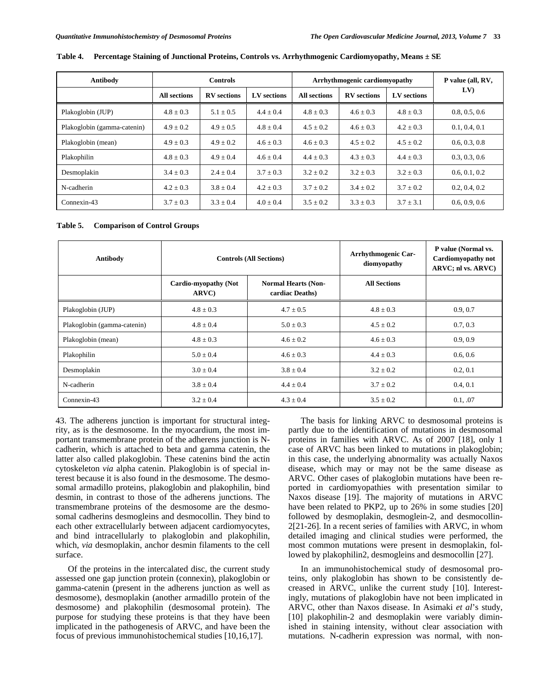| Antibody                    | <b>Controls</b>     |                    | Arrhythmogenic cardiomyopathy |                     |                    | P value (all, RV, |               |
|-----------------------------|---------------------|--------------------|-------------------------------|---------------------|--------------------|-------------------|---------------|
|                             | <b>All sections</b> | <b>RV</b> sections | LV sections                   | <b>All sections</b> | <b>RV</b> sections | LV sections       | LV)           |
| Plakoglobin (JUP)           | $4.8 \pm 0.3$       | $5.1 \pm 0.5$      | $4.4 \pm 0.4$                 | $4.8 \pm 0.3$       | $4.6 + 0.3$        | $4.8 \pm 0.3$     | 0.8, 0.5, 0.6 |
| Plakoglobin (gamma-catenin) | $4.9 \pm 0.2$       | $4.9 \pm 0.5$      | $4.8 \pm 0.4$                 | $4.5 \pm 0.2$       | $4.6 + 0.3$        | $4.2 + 0.3$       | 0.1, 0.4, 0.1 |
| Plakoglobin (mean)          | $4.9 + 0.3$         | $4.9 + 0.2$        | $4.6 + 0.3$                   | $4.6 \pm 0.3$       | $4.5 + 0.2$        | $4.5 + 0.2$       | 0.6, 0.3, 0.8 |
| Plakophilin                 | $4.8 \pm 0.3$       | $4.9 + 0.4$        | $4.6 \pm 0.4$                 | $4.4 \pm 0.3$       | $4.3 \pm 0.3$      | $4.4 + 0.3$       | 0.3, 0.3, 0.6 |
| Desmoplakin                 | $3.4 \pm 0.3$       | $2.4 \pm 0.4$      | $3.7 \pm 0.3$                 | $3.2 \pm 0.2$       | $3.2 + 0.3$        | $3.2 + 0.3$       | 0.6, 0.1, 0.2 |
| N-cadherin                  | $4.2 + 0.3$         | $3.8 \pm 0.4$      | $4.2 + 0.3$                   | $3.7 + 0.2$         | $3.4 + 0.2$        | $3.7 + 0.2$       | 0.2, 0.4, 0.2 |
| Connexin-43                 | $3.7 \pm 0.3$       | $3.3 \pm 0.4$      | $4.0 \pm 0.4$                 | $3.5 \pm 0.2$       | $3.3 \pm 0.3$      | $3.7 \pm 3.1$     | 0.6, 0.9, 0.6 |

**Table 4. Percentage Staining of Junctional Proteins, Controls vs. Arrhythmogenic Cardiomyopathy, Means ± SE** 

**Table 5. Comparison of Control Groups** 

| Antibody                    |                                              | <b>Controls (All Sections)</b>                | <b>Arrhythmogenic Car-</b><br>diomyopathy | P value (Normal vs.<br><b>Cardiomyopathy not</b><br>ARVC; nl vs. ARVC) |
|-----------------------------|----------------------------------------------|-----------------------------------------------|-------------------------------------------|------------------------------------------------------------------------|
|                             | <b>Cardio-myopathy (Not</b><br><b>ARVC</b> ) | <b>Normal Hearts (Non-</b><br>cardiac Deaths) | <b>All Sections</b>                       |                                                                        |
| Plakoglobin (JUP)           | $4.8 \pm 0.3$                                | $4.7 \pm 0.5$                                 | $4.8 \pm 0.3$                             | 0.9, 0.7                                                               |
| Plakoglobin (gamma-catenin) | $4.8 \pm 0.4$                                | $5.0 \pm 0.3$                                 | $4.5 \pm 0.2$                             | 0.7, 0.3                                                               |
| Plakoglobin (mean)          | $4.8 \pm 0.3$                                | $4.6 + 0.2$                                   | $4.6 \pm 0.3$                             | 0.9, 0.9                                                               |
| Plakophilin                 | $5.0 \pm 0.4$                                | $4.6 \pm 0.3$                                 | $4.4 \pm 0.3$                             | 0.6, 0.6                                                               |
| Desmoplakin                 | $3.0 \pm 0.4$                                | $3.8 \pm 0.4$                                 | $3.2 \pm 0.2$                             | 0.2, 0.1                                                               |
| N-cadherin                  | $3.8 \pm 0.4$                                | $4.4 \pm 0.4$                                 | $3.7 \pm 0.2$                             | 0.4, 0.1                                                               |
| Connexin-43                 | $3.2 \pm 0.4$                                | $4.3 \pm 0.4$                                 | $3.5 \pm 0.2$                             | 0.1, .07                                                               |

43. The adherens junction is important for structural integrity, as is the desmosome. In the myocardium, the most important transmembrane protein of the adherens junction is Ncadherin, which is attached to beta and gamma catenin, the latter also called plakoglobin. These catenins bind the actin cytoskeleton *via* alpha catenin. Plakoglobin is of special interest because it is also found in the desmosome. The desmosomal armadillo proteins, plakoglobin and plakophilin, bind desmin, in contrast to those of the adherens junctions. The transmembrane proteins of the desmosome are the desmosomal cadherins desmogleins and desmocollin. They bind to each other extracellularly between adjacent cardiomyocytes, and bind intracellularly to plakoglobin and plakophilin, which, *via* desmoplakin, anchor desmin filaments to the cell surface.

 Of the proteins in the intercalated disc, the current study assessed one gap junction protein (connexin), plakoglobin or gamma-catenin (present in the adherens junction as well as desmosome), desmoplakin (another armadillo protein of the desmosome) and plakophilin (desmosomal protein). The purpose for studying these proteins is that they have been implicated in the pathogenesis of ARVC, and have been the focus of previous immunohistochemical studies [10,16,17].

 The basis for linking ARVC to desmosomal proteins is partly due to the identification of mutations in desmosomal proteins in families with ARVC. As of 2007 [18], only 1 case of ARVC has been linked to mutations in plakoglobin; in this case, the underlying abnormality was actually Naxos disease, which may or may not be the same disease as ARVC. Other cases of plakoglobin mutations have been reported in cardiomyopathies with presentation similar to Naxos disease [19]. The majority of mutations in ARVC have been related to PKP2, up to 26% in some studies [20] followed by desmoplakin, desmoglein-2, and desmocollin-2[21-26]. In a recent series of families with ARVC, in whom detailed imaging and clinical studies were performed, the most common mutations were present in desmoplakin, followed by plakophilin2, desmogleins and desmocollin [27].

 In an immunohistochemical study of desmosomal proteins, only plakoglobin has shown to be consistently decreased in ARVC, unlike the current study [10]. Interestingly, mutations of plakoglobin have not been implicated in ARVC, other than Naxos disease. In Asimaki *et al*'s study, [10] plakophilin-2 and desmoplakin were variably diminished in staining intensity, without clear association with mutations. N-cadherin expression was normal, with non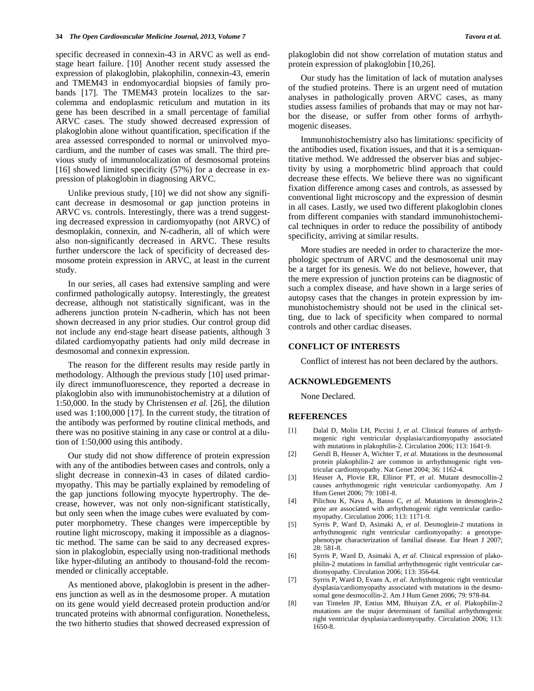specific decreased in connexin-43 in ARVC as well as endstage heart failure. [10] Another recent study assessed the expression of plakoglobin, plakophilin, connexin-43, emerin and TMEM43 in endomyocardial biopsies of family probands [17]. The TMEM43 protein localizes to the sarcolemma and endoplasmic reticulum and mutation in its gene has been described in a small percentage of familial ARVC cases. The study showed decreased expression of plakoglobin alone without quantification, specification if the area assessed corresponded to normal or uninvolved myocardium, and the number of cases was small. The third previous study of immunolocalization of desmosomal proteins [16] showed limited specificity (57%) for a decrease in expression of plakoglobin in diagnosing ARVC.

 Unlike previous study, [10] we did not show any significant decrease in desmosomal or gap junction proteins in ARVC vs. controls. Interestingly, there was a trend suggesting decreased expression in cardiomyopathy (not ARVC) of desmoplakin, connexin, and N-cadherin, all of which were also non-significantly decreased in ARVC. These results further underscore the lack of specificity of decreased desmosome protein expression in ARVC, at least in the current study.

 In our series, all cases had extensive sampling and were confirmed pathologically autopsy. Interestingly, the greatest decrease, although not statistically significant, was in the adherens junction protein N-cadherin, which has not been shown decreased in any prior studies. Our control group did not include any end-stage heart disease patients, although 3 dilated cardiomyopathy patients had only mild decrease in desmosomal and connexin expression.

 The reason for the different results may reside partly in methodology. Although the previous study [10] used primarily direct immunofluorescence, they reported a decrease in plakoglobin also with immunohistochemistry at a dilution of 1:50,000. In the study by Christensen *et al.* [26], the dilution used was 1:100,000 [17]. In the current study, the titration of the antibody was performed by routine clinical methods, and there was no positive staining in any case or control at a dilution of 1:50,000 using this antibody.

 Our study did not show difference of protein expression with any of the antibodies between cases and controls, only a slight decrease in connexin-43 in cases of dilated cardiomyopathy. This may be partially explained by remodeling of the gap junctions following myocyte hypertrophy. The decrease, however, was not only non-significant statistically, but only seen when the image cubes were evaluated by computer morphometry. These changes were imperceptible by routine light microscopy, making it impossible as a diagnostic method. The same can be said to any decreased expression in plakoglobin, especially using non-traditional methods like hyper-diluting an antibody to thousand-fold the recommended or clinically acceptable.

 As mentioned above, plakoglobin is present in the adherens junction as well as in the desmosome proper. A mutation on its gene would yield decreased protein production and/or truncated proteins with abnormal configuration. Nonetheless, the two hitherto studies that showed decreased expression of plakoglobin did not show correlation of mutation status and protein expression of plakoglobin [10,26].

 Our study has the limitation of lack of mutation analyses of the studied proteins. There is an urgent need of mutation analyses in pathologically proven ARVC cases, as many studies assess families of probands that may or may not harbor the disease, or suffer from other forms of arrhythmogenic diseases.

 Immunohistochemistry also has limitations: specificity of the antibodies used, fixation issues, and that it is a semiquantitative method. We addressed the observer bias and subjectivity by using a morphometric blind approach that could decrease these effects. We believe there was no significant fixation difference among cases and controls, as assessed by conventional light microscopy and the expression of desmin in all cases. Lastly, we used two different plakoglobin clones from different companies with standard immunohistochemical techniques in order to reduce the possibility of antibody specificity, arriving at similar results.

 More studies are needed in order to characterize the morphologic spectrum of ARVC and the desmosomal unit may be a target for its genesis. We do not believe, however, that the mere expression of junction proteins can be diagnostic of such a complex disease, and have shown in a large series of autopsy cases that the changes in protein expression by immunohistochemistry should not be used in the clinical setting, due to lack of specificity when compared to normal controls and other cardiac diseases.

# **CONFLICT OF INTERESTS**

Conflict of interest has not been declared by the authors.

#### **ACKNOWLEDGEMENTS**

None Declared.

# **REFERENCES**

- [1] Dalal D, Molin LH, Piccini J, *et al*. Clinical features of arrhythmogenic right ventricular dysplasia/cardiomyopathy associated with mutations in plakophilin-2. Circulation 2006; 113: 1641-9.
- [2] Gerull B, Heuser A, Wichter T, *et al*. Mutations in the desmosomal protein plakophilin-2 are common in arrhythmogenic right ventricular cardiomyopathy. Nat Genet 2004; 36: 1162-4.
- [3] Heuser A, Plovie ER, Ellinor PT, *et al*. Mutant desmocollin-2 causes arrhythmogenic right ventricular cardiomyopathy. Am J Hum Genet 2006; 79: 1081-8.
- [4] Pilichou K, Nava A, Basso C, *et al*. Mutations in desmoglein-2 gene are associated with arrhythmogenic right ventricular cardiomyopathy. Circulation 2006; 113: 1171-9.
- [5] Syrris P, Ward D, Asimaki A, *et al*. Desmoglein-2 mutations in arrhythmogenic right ventricular cardiomyopathy: a genotypephenotype characterization of familial disease. Eur Heart J 2007; 28: 581-8.
- [6] Syrris P, Ward D, Asimaki A, *et al*. Clinical expression of plakophilin-2 mutations in familial arrhythmogenic right ventricular cardiomyopathy. Circulation 2006; 113: 356-64.
- [7] Syrris P, Ward D, Evans A, *et al*. Arrhythmogenic right ventricular dysplasia/cardiomyopathy associated with mutations in the desmosomal gene desmocollin-2. Am J Hum Genet 2006; 79: 978-84.
- [8] van Tintelen JP, Entius MM, Bhuiyan ZA, *et al*. Plakophilin-2 mutations are the major determinant of familial arrhythmogenic right ventricular dysplasia/cardiomyopathy. Circulation 2006; 113: 1650-8.